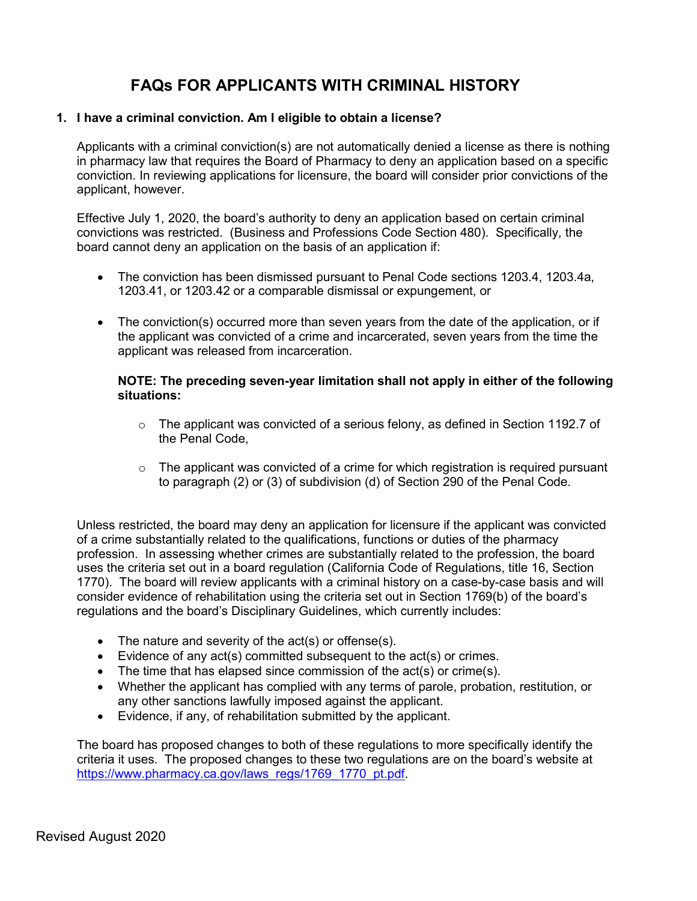# **FAQs FOR APPLICANTS WITH CRIMINAL HISTORY**

#### **1. I have a criminal conviction. Am I eligible to obtain a license?**

Applicants with a criminal conviction(s) are not automatically denied a license as there is nothing in pharmacy law that requires the Board of Pharmacy to deny an application based on a specific conviction. In reviewing applications for licensure, the board will consider prior convictions of the applicant, however.

Effective July 1, 2020, the board's authority to deny an application based on certain criminal convictions was restricted. (Business and Professions Code Section 480). Specifically, the board cannot deny an application on the basis of an application if:

- The conviction has been dismissed pursuant to Penal Code sections 1203.4, 1203.4a, 1203.41, or 1203.42 or a comparable dismissal or expungement, or
- The conviction(s) occurred more than seven years from the date of the application, or if the applicant was convicted of a crime and incarcerated, seven years from the time the applicant was released from incarceration.

#### **NOTE: The preceding seven-year limitation shall not apply in either of the following situations:**

- $\circ$  The applicant was convicted of a serious felony, as defined in Section 1192.7 of the Penal Code,
- $\circ$  The applicant was convicted of a crime for which registration is required pursuant to paragraph (2) or (3) of subdivision (d) of Section 290 of the Penal Code.

Unless restricted, the board may deny an application for licensure if the applicant was convicted of a crime substantially related to the qualifications, functions or duties of the pharmacy profession. In assessing whether crimes are substantially related to the profession, the board uses the criteria set out in a board regulation (California Code of Regulations, title 16, Section 1770). The board will review applicants with a criminal history on a case-by-case basis and will consider evidence of rehabilitation using the criteria set out in Section 1769(b) of the board's regulations and the board's Disciplinary Guidelines, which currently includes:

- The nature and severity of the act(s) or offense(s).
- Evidence of any act(s) committed subsequent to the act(s) or crimes.
- The time that has elapsed since commission of the act(s) or crime(s).
- Whether the applicant has complied with any terms of parole, probation, restitution, or any other sanctions lawfully imposed against the applicant.
- Evidence, if any, of rehabilitation submitted by the applicant.

The board has proposed changes to both of these regulations to more specifically identify the criteria it uses. The proposed changes to these two regulations are on the board's website at [https://www.pharmacy.ca.gov/laws\\_regs/1769\\_1770\\_pt.pdf.](https://www.pharmacy.ca.gov/laws_regs/1769_1770_pt.pdf)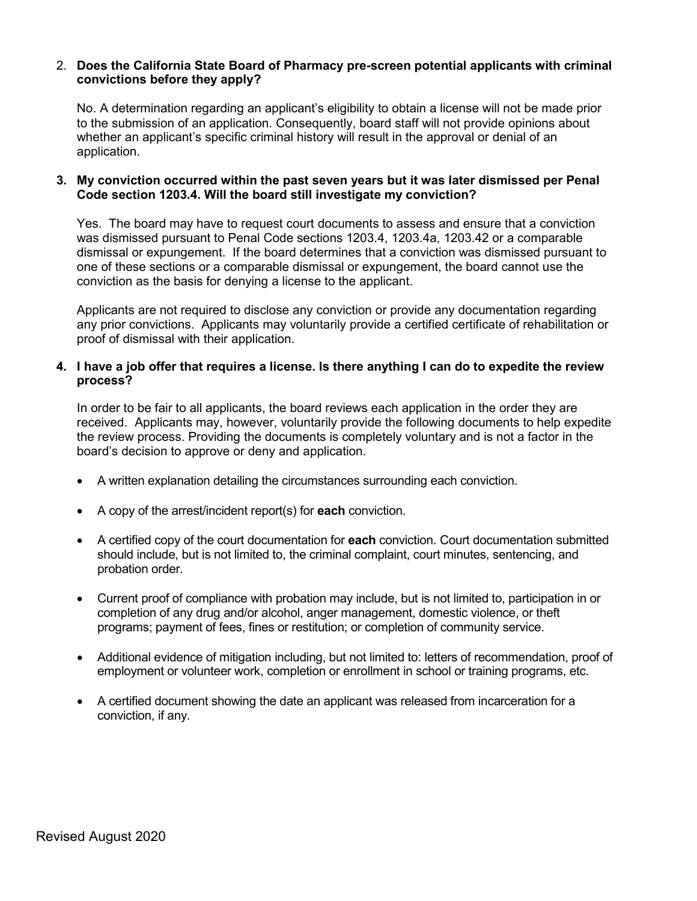#### 2. **Does the California State Board of Pharmacy pre-screen potential applicants with criminal convictions before they apply?**

No. A determination regarding an applicant's eligibility to obtain a license will not be made prior to the submission of an application. Consequently, board staff will not provide opinions about whether an applicant's specific criminal history will result in the approval or denial of an application.

#### **3. My conviction occurred within the past seven years but it was later dismissed per Penal Code section 1203.4. Will the board still investigate my conviction?**

Yes. The board may have to request court documents to assess and ensure that a conviction was dismissed pursuant to Penal Code sections 1203.4, 1203.4a, 1203.42 or a comparable dismissal or expungement. If the board determines that a conviction was dismissed pursuant to one of these sections or a comparable dismissal or expungement, the board cannot use the conviction as the basis for denying a license to the applicant.

Applicants are not required to disclose any conviction or provide any documentation regarding any prior convictions. Applicants may voluntarily provide a certified certificate of rehabilitation or proof of dismissal with their application.

#### **4. I have a job offer that requires a license. Is there anything I can do to expedite the review process?**

In order to be fair to all applicants, the board reviews each application in the order they are received. Applicants may, however, voluntarily provide the following documents to help expedite the review process. Providing the documents is completely voluntary and is not a factor in the board's decision to approve or deny and application.

- A written explanation detailing the circumstances surrounding each conviction.
- A copy of the arrest/incident report(s) for **each** conviction.
- A certified copy of the court documentation for **each** conviction. Court documentation submitted should include, but is not limited to, the criminal complaint, court minutes, sentencing, and probation order.
- Current proof of compliance with probation may include, but is not limited to, participation in or completion of any drug and/or alcohol, anger management, domestic violence, or theft programs; payment of fees, fines or restitution; or completion of community service.
- Additional evidence of mitigation including, but not limited to: letters of recommendation, proof of employment or volunteer work, completion or enrollment in school or training programs, etc.
- A certified document showing the date an applicant was released from incarceration for a conviction, if any.